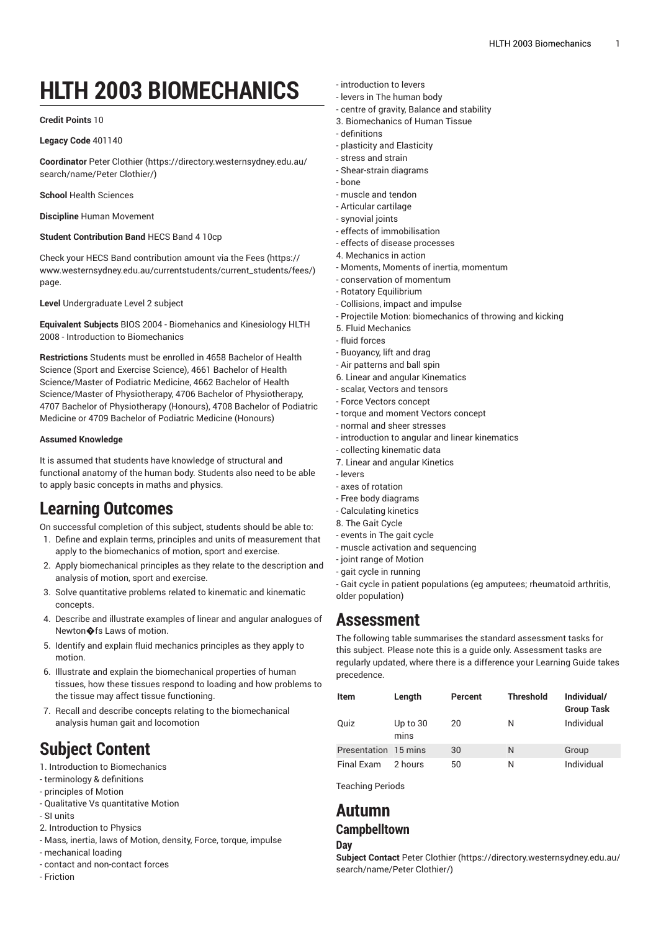# **HLTH 2003 BIOMECHANICS**

### **Credit Points** 10

#### **Legacy Code** 401140

**Coordinator** Peter [Clothier](https://directory.westernsydney.edu.au/search/name/Peter Clothier/) ([https://directory.westernsydney.edu.au/](https://directory.westernsydney.edu.au/search/name/Peter Clothier/) [search/name/Peter](https://directory.westernsydney.edu.au/search/name/Peter Clothier/) Clothier/)

**School** Health Sciences

**Discipline** Human Movement

### **Student Contribution Band** HECS Band 4 10cp

Check your HECS Band contribution amount via the [Fees \(https://](https://www.westernsydney.edu.au/currentstudents/current_students/fees/) [www.westernsydney.edu.au/currentstudents/current\\_students/fees/\)](https://www.westernsydney.edu.au/currentstudents/current_students/fees/) page.

**Level** Undergraduate Level 2 subject

**Equivalent Subjects** BIOS 2004 - Biomehanics and Kinesiology HLTH 2008 - Introduction to Biomechanics

**Restrictions** Students must be enrolled in 4658 Bachelor of Health Science (Sport and Exercise Science), 4661 Bachelor of Health Science/Master of Podiatric Medicine, 4662 Bachelor of Health Science/Master of Physiotherapy, 4706 Bachelor of Physiotherapy, 4707 Bachelor of Physiotherapy (Honours), 4708 Bachelor of Podiatric Medicine or 4709 Bachelor of Podiatric Medicine (Honours)

### **Assumed Knowledge**

It is assumed that students have knowledge of structural and functional anatomy of the human body. Students also need to be able to apply basic concepts in maths and physics.

## **Learning Outcomes**

On successful completion of this subject, students should be able to:

- 1. Define and explain terms, principles and units of measurement that apply to the biomechanics of motion, sport and exercise.
- 2. Apply biomechanical principles as they relate to the description and analysis of motion, sport and exercise.
- 3. Solve quantitative problems related to kinematic and kinematic concepts.
- 4. Describe and illustrate examples of linear and angular analogues of Newton�fs Laws of motion.
- 5. Identify and explain fluid mechanics principles as they apply to motion.
- 6. Illustrate and explain the biomechanical properties of human tissues, how these tissues respond to loading and how problems to the tissue may affect tissue functioning.
- 7. Recall and describe concepts relating to the biomechanical analysis human gait and locomotion

# **Subject Content**

1. Introduction to Biomechanics

- terminology & definitions
- principles of Motion
- Qualitative Vs quantitative Motion
- SI units
- 2. Introduction to Physics
- Mass, inertia, laws of Motion, density, Force, torque, impulse
- mechanical loading
- contact and non-contact forces
- Friction
- introduction to levers
- levers in The human body
- centre of gravity, Balance and stability
- 3. Biomechanics of Human Tissue
- definitions
- plasticity and Elasticity
- stress and strain
- Shear-strain diagrams
- bone
- muscle and tendon
- Articular cartilage
- synovial joints
- effects of immobilisation - effects of disease processes
- 4. Mechanics in action
- Moments, Moments of inertia, momentum
- conservation of momentum
- Rotatory Equilibrium
- Collisions, impact and impulse
- Projectile Motion: biomechanics of throwing and kicking
- 5. Fluid Mechanics
- fluid forces
- Buoyancy, lift and drag
- Air patterns and ball spin
- 6. Linear and angular Kinematics
- scalar, Vectors and tensors
- Force Vectors concept
- torque and moment Vectors concept
- normal and sheer stresses
- introduction to angular and linear kinematics
- collecting kinematic data
- 7. Linear and angular Kinetics
- levers
- axes of rotation
- Free body diagrams
- Calculating kinetics
- 8. The Gait Cycle - events in The gait cycle
- muscle activation and sequencing
- joint range of Motion
- gait cycle in running

- Gait cycle in patient populations (eg amputees; rheumatoid arthritis, older population)

### **Assessment**

The following table summarises the standard assessment tasks for this subject. Please note this is a guide only. Assessment tasks are regularly updated, where there is a difference your Learning Guide takes precedence.

| <b>Item</b>          | Length             | Percent | <b>Threshold</b> | Individual/<br><b>Group Task</b> |
|----------------------|--------------------|---------|------------------|----------------------------------|
| Quiz                 | Up to $30$<br>mins | 20      | N                | Individual                       |
| Presentation 15 mins |                    | 30      | N                | Group                            |
| Final Exam           | 2 hours            | 50      | Ν                | Individual                       |

Teaching Periods

### **Autumn**

### **Campbelltown**

#### **Day**

**Subject Contact** Peter [Clothier \(https://directory.westernsydney.edu.au/](https://directory.westernsydney.edu.au/search/name/Peter Clothier/) [search/name/Peter](https://directory.westernsydney.edu.au/search/name/Peter Clothier/) Clothier/)